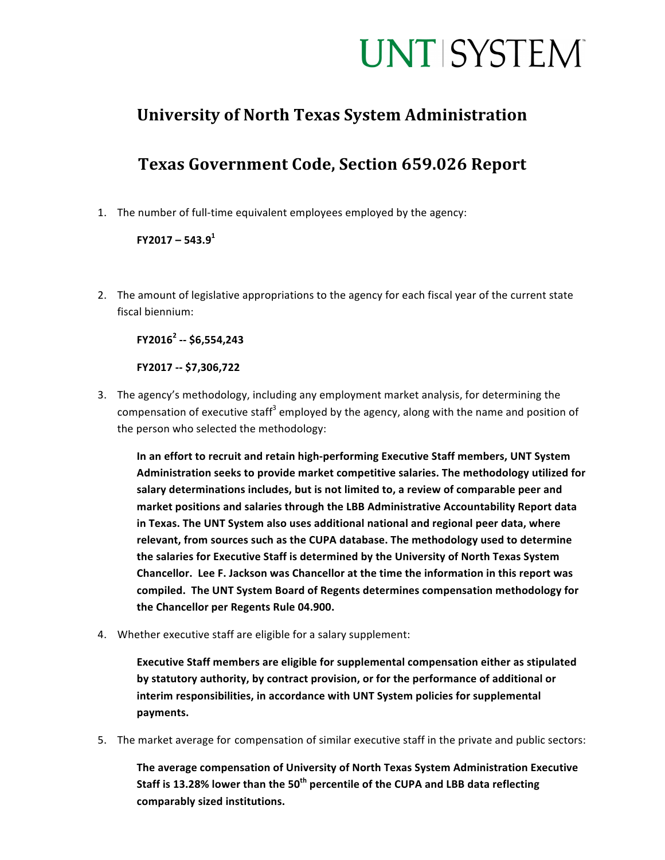## **UNT SYSTEM**

### **University of North Texas System Administration**

## **Texas Government Code, Section 659.026 Report**

1. The number of full-time equivalent employees employed by the agency:

#### **FY2017 – 543.91**

2. The amount of legislative appropriations to the agency for each fiscal year of the current state fiscal biennium:

**FY2016<sup>2</sup> -- \$6,554,243**

**FY2017 -- \$7,306,722**

3. The agency's methodology, including any employment market analysis, for determining the compensation of executive staff<sup>3</sup> employed by the agency, along with the name and position of the person who selected the methodology:

In an effort to recruit and retain high-performing Executive Staff members, UNT System **Administration seeks to provide market competitive salaries. The methodology utilized for**  salary determinations includes, but is not limited to, a review of comparable peer and market positions and salaries through the LBB Administrative Accountability Report data in Texas. The UNT System also uses additional national and regional peer data, where relevant, from sources such as the CUPA database. The methodology used to determine the salaries for Executive Staff is determined by the University of North Texas System Chancellor. Lee F. Jackson was Chancellor at the time the information in this report was compiled. The UNT System Board of Regents determines compensation methodology for the Chancellor per Regents Rule 04.900.

4. Whether executive staff are eligible for a salary supplement:

**Executive Staff members are eligible for supplemental compensation either as stipulated** by statutory authority, by contract provision, or for the performance of additional or interim responsibilities, in accordance with UNT System policies for supplemental **payments.**

5. The market average for compensation of similar executive staff in the private and public sectors:

The average compensation of University of North Texas System Administration Executive **Staff** is 13.28% lower than the 50<sup>th</sup> percentile of the CUPA and LBB data reflecting **comparably sized institutions.**